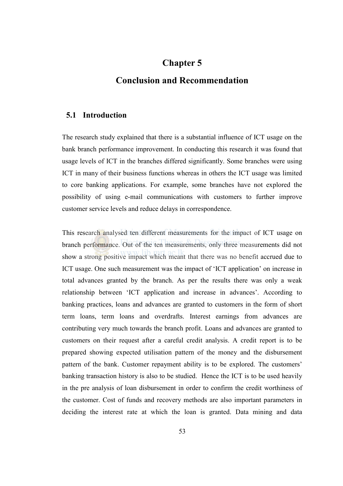# Chapter 5

# Conclusion and Recommendation

#### 5.1 Introduction

The research study explained that there is a substantial influence of ICT usage on the bank branch performance improvement. In conducting this research it was found that usage levels of ICT in the branches differed significantly. Some branches were using ICT in many of their business functions whereas in others the ICT usage was limited to core banking applications. For example, some branches have not explored the possibility of using e-mail communications with customers to further improve customer service levels and reduce delays in correspondence.

This research analysed ten different measurements for the impact of ICT usage on branch performance. Out of the ten measurements, only three measurements did not show a strong positive impact which meant that there was no benefit accrued due to ICT usage. One such measurement was the impact of 'ICT application' on increase in total advances granted by the branch. As per the results there was only a weak relationship between 'ICT application and increase in advances'. According to banking practices, loans and advances are granted to customers in the form of short term loans, term loans and overdrafts. Interest earnings from advances are contributing very much towards the branch profit. Loans and advances are granted to customers on their request after a careful credit analysis. A credit report is to be prepared showing expected utilisation pattern of the money and the disbursement pattern of the bank. Customer repayment ability is to be explored. The customers' banking transaction history is also to be studied. Hence the ICT is to be used heavily in the pre analysis of loan disbursement in order to confirm the credit worthiness of the customer. Cost of funds and recovery methods are also important parameters in deciding the interest rate at which the loan is granted. Data mining and data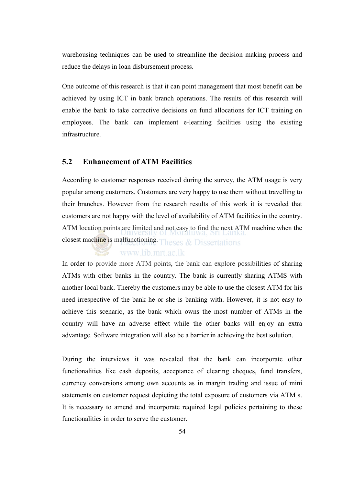warehousing techniques can be used to streamline the decision making process and reduce the delays in loan disbursement process.

One outcome of this research is that it can point management that most benefit can be achieved by using ICT in bank branch operations. The results of this research will enable the bank to take corrective decisions on fund allocations for ICT training on employees. The bank can implement e-learning facilities using the existing infrastructure.

## 5.2 Enhancement of ATM Facilities

According to customer responses received during the survey, the ATM usage is very popular among customers. Customers are very happy to use them without travelling to their branches. However from the research results of this work it is revealed that customers are not happy with the level of availability of ATM facilities in the country. ATM location points are limited and not easy to find the next ATM machine when the closest machine is malfunctioning. Theses & Dissertations

### www.lib.mrt.ac.lk

In order to provide more ATM points, the bank can explore possibilities of sharing ATMs with other banks in the country. The bank is currently sharing ATMS with another local bank. Thereby the customers may be able to use the closest ATM for his need irrespective of the bank he or she is banking with. However, it is not easy to achieve this scenario, as the bank which owns the most number of ATMs in the country will have an adverse effect while the other banks will enjoy an extra advantage. Software integration will also be a barrier in achieving the best solution.

During the interviews it was revealed that the bank can incorporate other functionalities like cash deposits, acceptance of clearing cheques, fund transfers, currency conversions among own accounts as in margin trading and issue of mini statements on customer request depicting the total exposure of customers via ATM s. It is necessary to amend and incorporate required legal policies pertaining to these functionalities in order to serve the customer.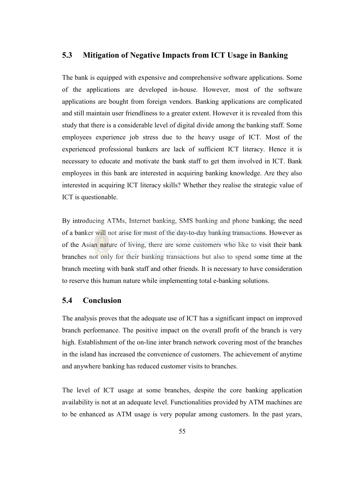## 5.3 Mitigation of Negative Impacts from ICT Usage in Banking

The bank is equipped with expensive and comprehensive software applications. Some of the applications are developed in-house. However, most of the software applications are bought from foreign vendors. Banking applications are complicated and still maintain user friendliness to a greater extent. However it is revealed from this study that there is a considerable level of digital divide among the banking staff. Some employees experience job stress due to the heavy usage of ICT. Most of the experienced professional bankers are lack of sufficient ICT literacy. Hence it is necessary to educate and motivate the bank staff to get them involved in ICT. Bank employees in this bank are interested in acquiring banking knowledge. Are they also interested in acquiring ICT literacy skills? Whether they realise the strategic value of ICT is questionable.

By introducing ATMs, Internet banking, SMS banking and phone banking; the need of a banker will not arise for most of the day-to-day banking transactions. However as of the Asian nature of living, there are some customers who like to visit their bank branches not only for their banking transactions but also to spend some time at the branch meeting with bank staff and other friends. It is necessary to have consideration to reserve this human nature while implementing total e-banking solutions.

#### 5.4 Conclusion

The analysis proves that the adequate use of ICT has a significant impact on improved branch performance. The positive impact on the overall profit of the branch is very high. Establishment of the on-line inter branch network covering most of the branches in the island has increased the convenience of customers. The achievement of anytime and anywhere banking has reduced customer visits to branches.

The level of ICT usage at some branches, despite the core banking application availability is not at an adequate level. Functionalities provided by ATM machines are to be enhanced as ATM usage is very popular among customers. In the past years,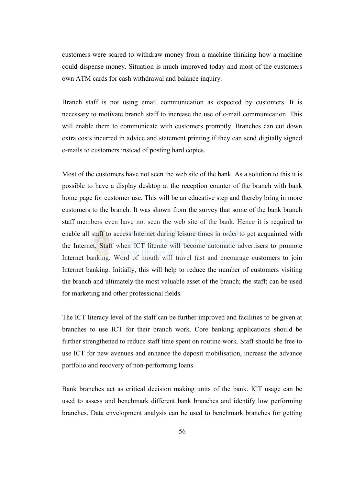customers were scared to withdraw money from a machine thinking how a machine could dispense money. Situation is much improved today and most of the customers own ATM cards for cash withdrawal and balance inquiry.

Branch staff is not using email communication as expected by customers. It is necessary to motivate branch staff to increase the use of e-mail communication. This will enable them to communicate with customers promptly. Branches can cut down extra costs incurred in advice and statement printing if they can send digitally signed e-mails to customers instead of posting hard copies.

Most of the customers have not seen the web site of the bank. As a solution to this it is possible to have a display desktop at the reception counter of the branch with bank home page for customer use. This will be an educative step and thereby bring in more customers to the branch. It was shown from the survey that some of the bank branch staff members even have not seen the web site of the bank. Hence it is required to enable all staff to access Internet during leisure times in order to get acquainted with the Internet. Staff when ICT literate will become automatic advertisers to promote Internet banking. Word of mouth will travel fast and encourage customers to join Internet banking. Initially, this will help to reduce the number of customers visiting the branch and ultimately the most valuable asset of the branch; the staff; can be used for marketing and other professional fields.

The ICT literacy level of the staff can be further improved and facilities to be given at branches to use ICT for their branch work. Core banking applications should be further strengthened to reduce staff time spent on routine work. Staff should be free to use ICT for new avenues and enhance the deposit mobilisation, increase the advance portfolio and recovery of non-performing loans.

Bank branches act as critical decision making units of the bank. ICT usage can be used to assess and benchmark different bank branches and identify low performing branches. Data envelopment analysis can be used to benchmark branches for getting